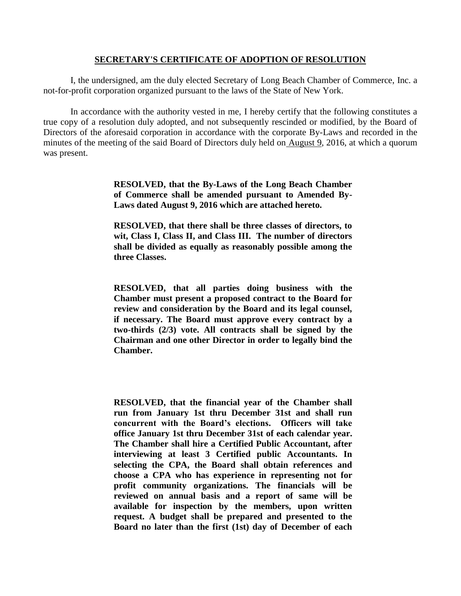### **SECRETARY'S CERTIFICATE OF ADOPTION OF RESOLUTION**

I, the undersigned, am the duly elected Secretary of Long Beach Chamber of Commerce, Inc. a not-for-profit corporation organized pursuant to the laws of the State of New York.

In accordance with the authority vested in me, I hereby certify that the following constitutes a true copy of a resolution duly adopted, and not subsequently rescinded or modified, by the Board of Directors of the aforesaid corporation in accordance with the corporate By-Laws and recorded in the minutes of the meeting of the said Board of Directors duly held on August 9, 2016, at which a quorum was present.

> **RESOLVED, that the By-Laws of the Long Beach Chamber of Commerce shall be amended pursuant to Amended By-Laws dated August 9, 2016 which are attached hereto.**

> **RESOLVED, that there shall be three classes of directors, to wit, Class I, Class II, and Class III. The number of directors shall be divided as equally as reasonably possible among the three Classes.**

> **RESOLVED, that all parties doing business with the Chamber must present a proposed contract to the Board for review and consideration by the Board and its legal counsel, if necessary. The Board must approve every contract by a two-thirds (2/3) vote. All contracts shall be signed by the Chairman and one other Director in order to legally bind the Chamber.**

> **RESOLVED, that the financial year of the Chamber shall run from January 1st thru December 31st and shall run concurrent with the Board's elections. Officers will take office January 1st thru December 31st of each calendar year. The Chamber shall hire a Certified Public Accountant, after interviewing at least 3 Certified public Accountants. In selecting the CPA, the Board shall obtain references and choose a CPA who has experience in representing not for profit community organizations. The financials will be reviewed on annual basis and a report of same will be available for inspection by the members, upon written request. A budget shall be prepared and presented to the Board no later than the first (1st) day of December of each**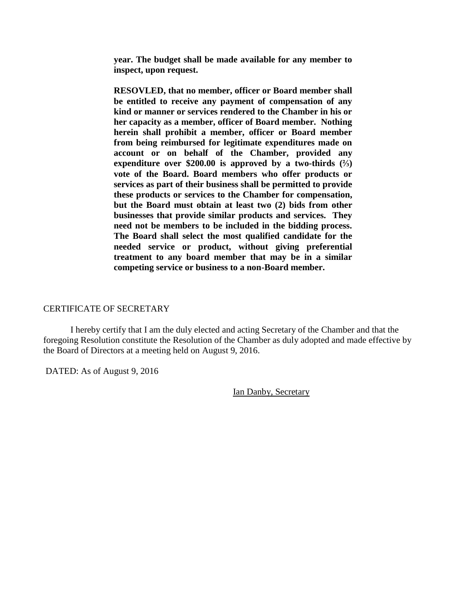**year. The budget shall be made available for any member to inspect, upon request.**

**RESOVLED, that no member, officer or Board member shall be entitled to receive any payment of compensation of any kind or manner or services rendered to the Chamber in his or her capacity as a member, officer of Board member. Nothing herein shall prohibit a member, officer or Board member from being reimbursed for legitimate expenditures made on account or on behalf of the Chamber, provided any expenditure over \$200.00 is approved by a two-thirds (⅔) vote of the Board. Board members who offer products or services as part of their business shall be permitted to provide these products or services to the Chamber for compensation, but the Board must obtain at least two (2) bids from other businesses that provide similar products and services. They need not be members to be included in the bidding process. The Board shall select the most qualified candidate for the needed service or product, without giving preferential treatment to any board member that may be in a similar competing service or business to a non-Board member.**

#### CERTIFICATE OF SECRETARY

I hereby certify that I am the duly elected and acting Secretary of the Chamber and that the foregoing Resolution constitute the Resolution of the Chamber as duly adopted and made effective by the Board of Directors at a meeting held on August 9, 2016.

DATED: As of August 9, 2016

Ian Danby, Secretary